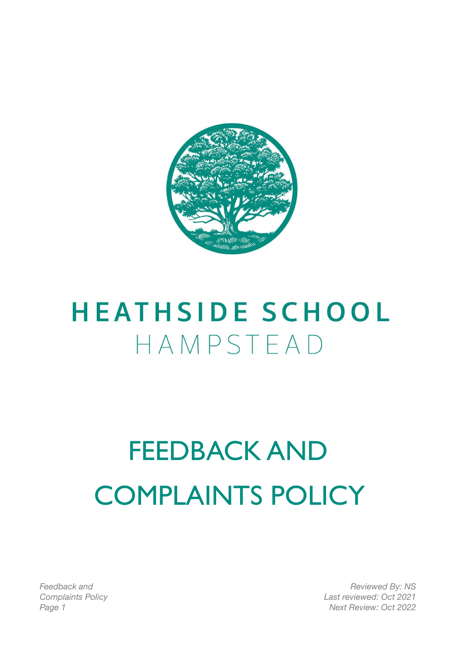

## **HEATHSIDE SCHOOL** HAMPSTEAD

# FEEDBACK AND COMPLAINTS POLICY

*Feedback and Complaints Policy*

*Reviewed By: NS Last reviewed: Oct 2021 Page 1 Next Review: Oct 2022*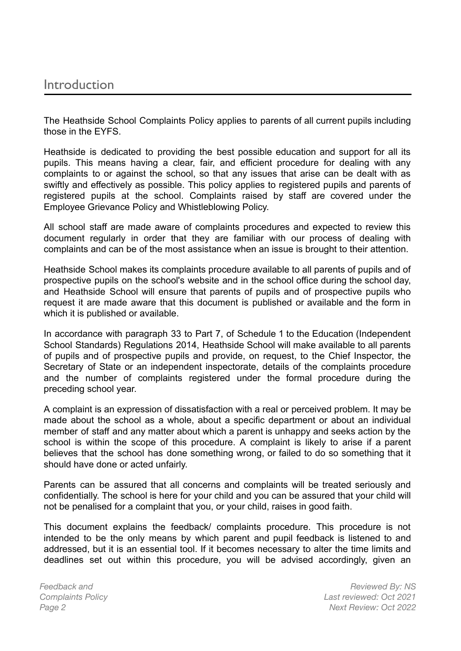#### Introduction

The Heathside School Complaints Policy applies to parents of all current pupils including those in the EYFS.

Heathside is dedicated to providing the best possible education and support for all its pupils. This means having a clear, fair, and efficient procedure for dealing with any complaints to or against the school, so that any issues that arise can be dealt with as swiftly and effectively as possible. This policy applies to registered pupils and parents of registered pupils at the school. Complaints raised by staff are covered under the Employee Grievance Policy and Whistleblowing Policy.

All school staff are made aware of complaints procedures and expected to review this document regularly in order that they are familiar with our process of dealing with complaints and can be of the most assistance when an issue is brought to their attention.

Heathside School makes its complaints procedure available to all parents of pupils and of prospective pupils on the school's website and in the school office during the school day, and Heathside School will ensure that parents of pupils and of prospective pupils who request it are made aware that this document is published or available and the form in which it is published or available.

In accordance with paragraph 33 to Part 7, of Schedule 1 to the Education (Independent School Standards) Regulations 2014, Heathside School will make available to all parents of pupils and of prospective pupils and provide, on request, to the Chief Inspector, the Secretary of State or an independent inspectorate, details of the complaints procedure and the number of complaints registered under the formal procedure during the preceding school year.

A complaint is an expression of dissatisfaction with a real or perceived problem. It may be made about the school as a whole, about a specific department or about an individual member of staff and any matter about which a parent is unhappy and seeks action by the school is within the scope of this procedure. A complaint is likely to arise if a parent believes that the school has done something wrong, or failed to do so something that it should have done or acted unfairly.

Parents can be assured that all concerns and complaints will be treated seriously and confidentially. The school is here for your child and you can be assured that your child will not be penalised for a complaint that you, or your child, raises in good faith.

This document explains the feedback/ complaints procedure. This procedure is not intended to be the only means by which parent and pupil feedback is listened to and addressed, but it is an essential tool. If it becomes necessary to alter the time limits and deadlines set out within this procedure, you will be advised accordingly, given an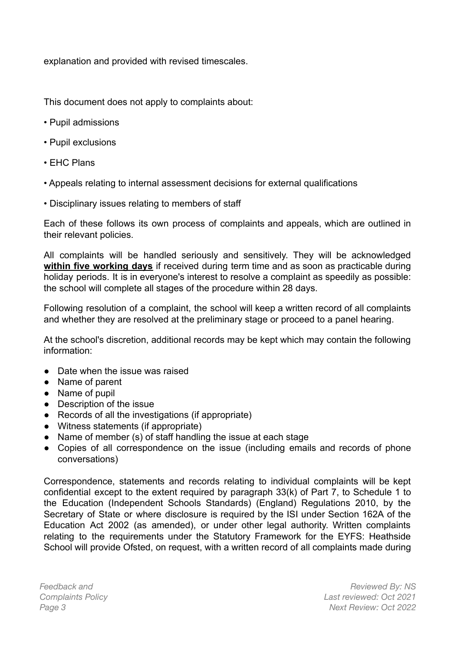explanation and provided with revised timescales.

This document does not apply to complaints about:

- Pupil admissions
- Pupil exclusions
- EHC Plans
- Appeals relating to internal assessment decisions for external qualifications
- Disciplinary issues relating to members of staff

Each of these follows its own process of complaints and appeals, which are outlined in their relevant policies.

All complaints will be handled seriously and sensitively. They will be acknowledged **within five working days** if received during term time and as soon as practicable during holiday periods. It is in everyone's interest to resolve a complaint as speedily as possible: the school will complete all stages of the procedure within 28 days.

Following resolution of a complaint, the school will keep a written record of all complaints and whether they are resolved at the preliminary stage or proceed to a panel hearing.

At the school's discretion, additional records may be kept which may contain the following information:

- Date when the issue was raised
- Name of parent
- Name of pupil
- Description of the issue
- Records of all the investigations (if appropriate)
- Witness statements (if appropriate)
- Name of member (s) of staff handling the issue at each stage
- Copies of all correspondence on the issue (including emails and records of phone conversations)

Correspondence, statements and records relating to individual complaints will be kept confidential except to the extent required by paragraph 33(k) of Part 7, to Schedule 1 to the Education (Independent Schools Standards) (England) Regulations 2010, by the Secretary of State or where disclosure is required by the ISI under Section 162A of the Education Act 2002 (as amended), or under other legal authority. Written complaints relating to the requirements under the Statutory Framework for the EYFS: Heathside School will provide Ofsted, on request, with a written record of all complaints made during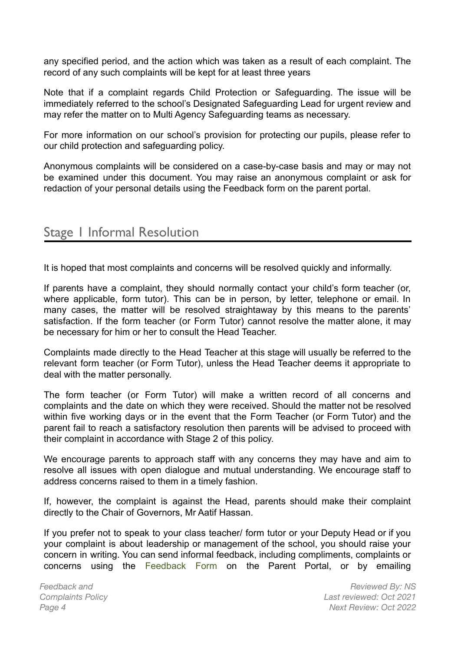any specified period, and the action which was taken as a result of each complaint. The record of any such complaints will be kept for at least three years

Note that if a complaint regards Child Protection or Safeguarding. The issue will be immediately referred to the school's Designated Safeguarding Lead for urgent review and may refer the matter on to Multi Agency Safeguarding teams as necessary.

For more information on our school's provision for protecting our pupils, please refer to our child protection and safeguarding policy.

Anonymous complaints will be considered on a case-by-case basis and may or may not be examined under this document. You may raise an anonymous complaint or ask for redaction of your personal details using the Feedback form on the parent portal.

## Stage 1 Informal Resolution

It is hoped that most complaints and concerns will be resolved quickly and informally.

If parents have a complaint, they should normally contact your child's form teacher (or, where applicable, form tutor). This can be in person, by letter, telephone or email. In many cases, the matter will be resolved straightaway by this means to the parents' satisfaction. If the form teacher (or Form Tutor) cannot resolve the matter alone, it may be necessary for him or her to consult the Head Teacher.

Complaints made directly to the Head Teacher at this stage will usually be referred to the relevant form teacher (or Form Tutor), unless the Head Teacher deems it appropriate to deal with the matter personally.

The form teacher (or Form Tutor) will make a written record of all concerns and complaints and the date on which they were received. Should the matter not be resolved within five working days or in the event that the Form Teacher (or Form Tutor) and the parent fail to reach a satisfactory resolution then parents will be advised to proceed with their complaint in accordance with Stage 2 of this policy.

We encourage parents to approach staff with any concerns they may have and aim to resolve all issues with open dialogue and mutual understanding. We encourage staff to address concerns raised to them in a timely fashion.

If, however, the complaint is against the Head, parents should make their complaint directly to the Chair of Governors, Mr Aatif Hassan.

If you prefer not to speak to your class teacher/ form tutor or your Deputy Head or if you your complaint is about leadership or management of the school, you should raise your concern in writing. You can send informal feedback, including compliments, complaints or concerns using the Feedback Form on the Parent Portal, or by emailing

*Feedback and Complaints Policy*

*Reviewed By: NS Last reviewed: Oct 2021 Page 4 Next Review: Oct 2022*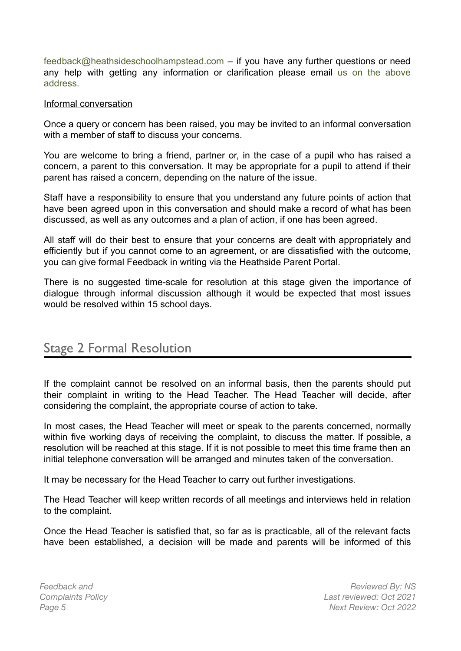feedback@heathsideschoolhampstead.com – if you have any further questions or need any help with getting any information or clarification please email us on the above address.

#### Informal conversation

Once a query or concern has been raised, you may be invited to an informal conversation with a member of staff to discuss your concerns.

You are welcome to bring a friend, partner or, in the case of a pupil who has raised a concern, a parent to this conversation. It may be appropriate for a pupil to attend if their parent has raised a concern, depending on the nature of the issue.

Staff have a responsibility to ensure that you understand any future points of action that have been agreed upon in this conversation and should make a record of what has been discussed, as well as any outcomes and a plan of action, if one has been agreed.

All staff will do their best to ensure that your concerns are dealt with appropriately and efficiently but if you cannot come to an agreement, or are dissatisfied with the outcome, you can give formal Feedback in writing via the Heathside Parent Portal.

There is no suggested time-scale for resolution at this stage given the importance of dialogue through informal discussion although it would be expected that most issues would be resolved within 15 school days.

## Stage 2 Formal Resolution

If the complaint cannot be resolved on an informal basis, then the parents should put their complaint in writing to the Head Teacher. The Head Teacher will decide, after considering the complaint, the appropriate course of action to take.

In most cases, the Head Teacher will meet or speak to the parents concerned, normally within five working days of receiving the complaint, to discuss the matter. If possible, a resolution will be reached at this stage. If it is not possible to meet this time frame then an initial telephone conversation will be arranged and minutes taken of the conversation.

It may be necessary for the Head Teacher to carry out further investigations.

The Head Teacher will keep written records of all meetings and interviews held in relation to the complaint.

Once the Head Teacher is satisfied that, so far as is practicable, all of the relevant facts have been established, a decision will be made and parents will be informed of this

*Feedback and Complaints Policy*

*Reviewed By: NS Last reviewed: Oct 2021 Page 5 Next Review: Oct 2022*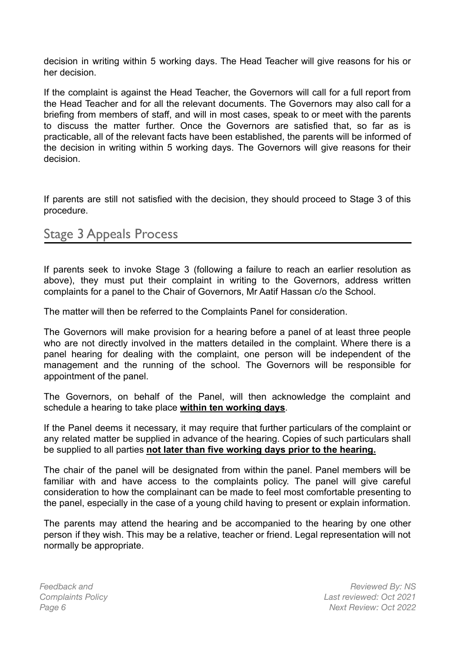decision in writing within 5 working days. The Head Teacher will give reasons for his or her decision.

If the complaint is against the Head Teacher, the Governors will call for a full report from the Head Teacher and for all the relevant documents. The Governors may also call for a briefing from members of staff, and will in most cases, speak to or meet with the parents to discuss the matter further. Once the Governors are satisfied that, so far as is practicable, all of the relevant facts have been established, the parents will be informed of the decision in writing within 5 working days. The Governors will give reasons for their decision.

If parents are still not satisfied with the decision, they should proceed to Stage 3 of this procedure.

## Stage 3 Appeals Process

If parents seek to invoke Stage 3 (following a failure to reach an earlier resolution as above), they must put their complaint in writing to the Governors, address written complaints for a panel to the Chair of Governors, Mr Aatif Hassan c/o the School.

The matter will then be referred to the Complaints Panel for consideration.

The Governors will make provision for a hearing before a panel of at least three people who are not directly involved in the matters detailed in the complaint. Where there is a panel hearing for dealing with the complaint, one person will be independent of the management and the running of the school. The Governors will be responsible for appointment of the panel.

The Governors, on behalf of the Panel, will then acknowledge the complaint and schedule a hearing to take place **within ten working days**.

If the Panel deems it necessary, it may require that further particulars of the complaint or any related matter be supplied in advance of the hearing. Copies of such particulars shall be supplied to all parties **not later than five working days prior to the hearing.**

The chair of the panel will be designated from within the panel. Panel members will be familiar with and have access to the complaints policy. The panel will give careful consideration to how the complainant can be made to feel most comfortable presenting to the panel, especially in the case of a young child having to present or explain information.

The parents may attend the hearing and be accompanied to the hearing by one other person if they wish. This may be a relative, teacher or friend. Legal representation will not normally be appropriate.

*Feedback and Complaints Policy*

*Reviewed By: NS Last reviewed: Oct 2021 Page 6 Next Review: Oct 2022*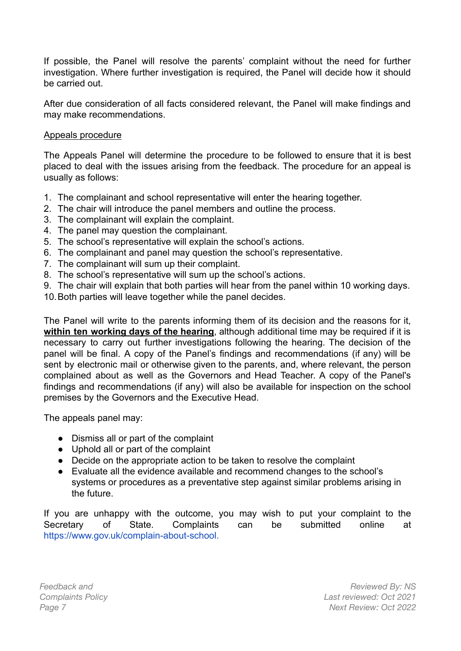If possible, the Panel will resolve the parents' complaint without the need for further investigation. Where further investigation is required, the Panel will decide how it should be carried out.

After due consideration of all facts considered relevant, the Panel will make findings and may make recommendations.

#### Appeals procedure

The Appeals Panel will determine the procedure to be followed to ensure that it is best placed to deal with the issues arising from the feedback. The procedure for an appeal is usually as follows:

- 1. The complainant and school representative will enter the hearing together.
- 2. The chair will introduce the panel members and outline the process.
- 3. The complainant will explain the complaint.
- 4. The panel may question the complainant.
- 5. The school's representative will explain the school's actions.
- 6. The complainant and panel may question the school's representative.
- 7. The complainant will sum up their complaint.
- 8. The school's representative will sum up the school's actions.
- 9. The chair will explain that both parties will hear from the panel within 10 working days.
- 10.Both parties will leave together while the panel decides.

The Panel will write to the parents informing them of its decision and the reasons for it, **within ten working days of the hearing**, although additional time may be required if it is necessary to carry out further investigations following the hearing. The decision of the panel will be final. A copy of the Panel's findings and recommendations (if any) will be sent by electronic mail or otherwise given to the parents, and, where relevant, the person complained about as well as the Governors and Head Teacher. A copy of the Panel's findings and recommendations (if any) will also be available for inspection on the school premises by the Governors and the Executive Head.

The appeals panel may:

- Dismiss all or part of the complaint
- Uphold all or part of the complaint
- Decide on the appropriate action to be taken to resolve the complaint
- Evaluate all the evidence available and recommend changes to the school's systems or procedures as a preventative step against similar problems arising in the future.

If you are unhappy with the outcome, you may wish to put your complaint to the Secretary of State. Complaints can be submitted online at https://www.gov.uk/complain-about-school.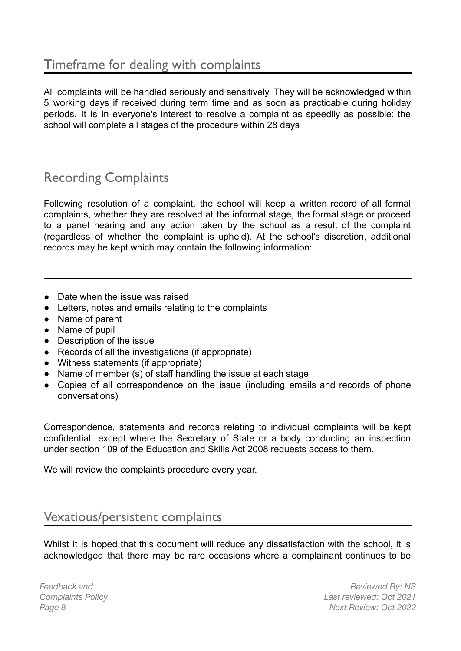All complaints will be handled seriously and sensitively. They will be acknowledged within 5 working days if received during term time and as soon as practicable during holiday periods. It is in everyone's interest to resolve a complaint as speedily as possible: the school will complete all stages of the procedure within 28 days

## Recording Complaints

Following resolution of a complaint, the school will keep a written record of all formal complaints, whether they are resolved at the informal stage, the formal stage or proceed to a panel hearing and any action taken by the school as a result of the complaint (regardless of whether the complaint is upheld). At the school's discretion, additional records may be kept which may contain the following information:

- Date when the issue was raised
- Letters, notes and emails relating to the complaints
- Name of parent
- Name of pupil
- Description of the issue
- Records of all the investigations (if appropriate)
- Witness statements (if appropriate)
- Name of member (s) of staff handling the issue at each stage
- Copies of all correspondence on the issue (including emails and records of phone conversations)

Correspondence, statements and records relating to individual complaints will be kept confidential, except where the Secretary of State or a body conducting an inspection under section 109 of the Education and Skills Act 2008 requests access to them.

We will review the complaints procedure every year.

## Vexatious/persistent complaints

Whilst it is hoped that this document will reduce any dissatisfaction with the school, it is acknowledged that there may be rare occasions where a complainant continues to be

*Feedback and Complaints Policy*

*Reviewed By: NS Last reviewed: Oct 2021 Page 8 Next Review: Oct 2022*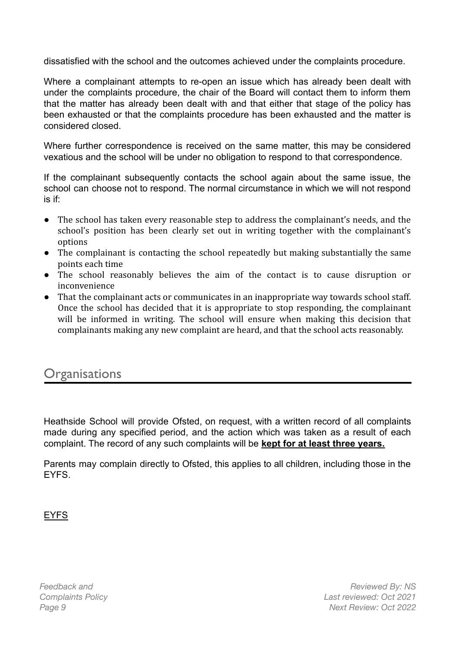dissatisfied with the school and the outcomes achieved under the complaints procedure.

Where a complainant attempts to re-open an issue which has already been dealt with under the complaints procedure, the chair of the Board will contact them to inform them that the matter has already been dealt with and that either that stage of the policy has been exhausted or that the complaints procedure has been exhausted and the matter is considered closed.

Where further correspondence is received on the same matter, this may be considered vexatious and the school will be under no obligation to respond to that correspondence.

If the complainant subsequently contacts the school again about the same issue, the school can choose not to respond. The normal circumstance in which we will not respond is if:

- The school has taken every reasonable step to address the complainant's needs, and the school's position has been clearly set out in writing together with the complainant's options
- The complainant is contacting the school repeatedly but making substantially the same points each time
- The school reasonably believes the aim of the contact is to cause disruption or inconvenience
- That the complainant acts or communicates in an inappropriate way towards school staff. Once the school has decided that it is appropriate to stop responding, the complainant will be informed in writing. The school will ensure when making this decision that complainants making any new complaint are heard, and that the school acts reasonably.

## **Organisations**

Heathside School will provide Ofsted, on request, with a written record of all complaints made during any specified period, and the action which was taken as a result of each complaint. The record of any such complaints will be **kept for at least three years.**

Parents may complain directly to Ofsted, this applies to all children, including those in the EYFS.

EYFS